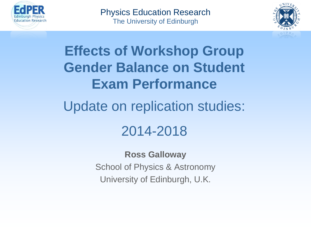

Physics Education Research The University of Edinburgh



**Effects of Workshop Group Gender Balance on Student Exam Performance** Update on replication studies: 2014-2018

> **Ross Galloway** School of Physics & Astronomy University of Edinburgh, U.K.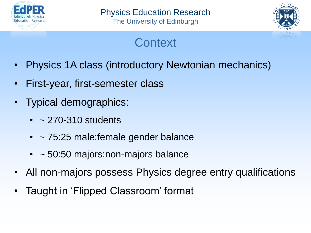



# **Context**

- Physics 1A class (introductory Newtonian mechanics)
- First-year, first-semester class
- Typical demographics:
	- $\cdot$  ~ 270-310 students
	- ~ 75:25 male: female gender balance
	- ~ 50:50 majors:non-majors balance
- All non-majors possess Physics degree entry qualifications
- Taught in 'Flipped Classroom' format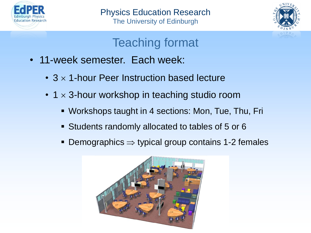



## Teaching format

- 11-week semester. Each week:
	- $3 \times 1$ -hour Peer Instruction based lecture
	- 1  $\times$  3-hour workshop in teaching studio room
		- Workshops taught in 4 sections: Mon, Tue, Thu, Fri
		- Students randomly allocated to tables of 5 or 6
		- **Demographics**  $\Rightarrow$  **typical group contains 1-2 females**

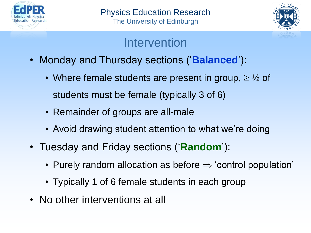



### Intervention

- Monday and Thursday sections ('**Balanced**'):
	- Where female students are present in group,  $\geq \frac{1}{2}$  of students must be female (typically 3 of 6)
	- Remainder of groups are all-male
	- Avoid drawing student attention to what we're doing
- Tuesday and Friday sections ('**Random**'):
	- Purely random allocation as before  $\Rightarrow$  'control population'
	- Typically 1 of 6 female students in each group
- No other interventions at all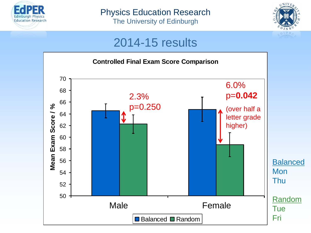

The University of Edinburgh



#### 2014-15 results

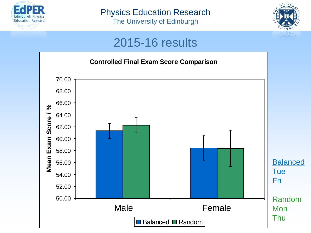

The University of Edinburgh



### 2015-16 results

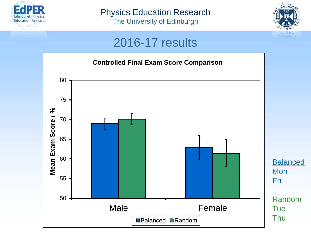

The University of Edinburgh



#### 2016-17 results

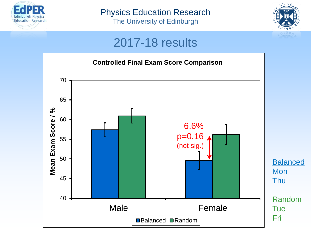

The University of Edinburgh



### 2017-18 results